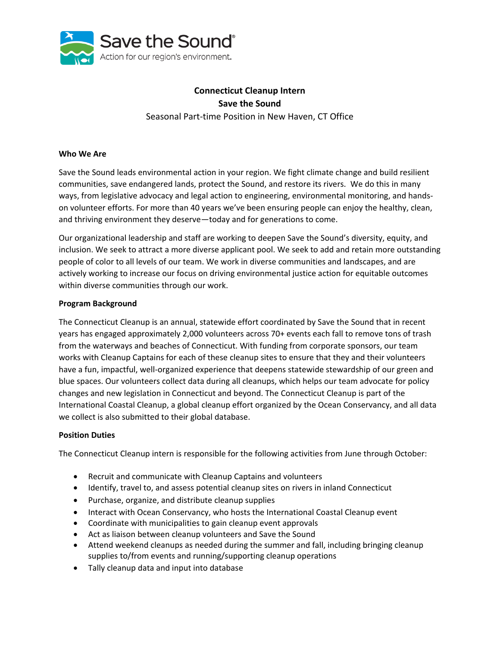

# **Connecticut Cleanup Intern Save the Sound** Seasonal Part-time Position in New Haven, CT Office

## **Who We Are**

Save the Sound leads environmental action in your region. We fight climate change and build resilient communities, save endangered lands, protect the Sound, and restore its rivers. We do this in many ways, from legislative advocacy and legal action to engineering, environmental monitoring, and handson volunteer efforts. For more than 40 years we've been ensuring people can enjoy the healthy, clean, and thriving environment they deserve—today and for generations to come.

Our organizational leadership and staff are working to deepen Save the Sound's diversity, equity, and inclusion. We seek to attract a more diverse applicant pool. We seek to add and retain more outstanding people of color to all levels of our team. We work in diverse communities and landscapes, and are actively working to increase our focus on driving environmental justice action for equitable outcomes within diverse communities through our work.

#### **Program Background**

The Connecticut Cleanup is an annual, statewide effort coordinated by Save the Sound that in recent years has engaged approximately 2,000 volunteers across 70+ events each fall to remove tons of trash from the waterways and beaches of Connecticut. With funding from corporate sponsors, our team works with Cleanup Captains for each of these cleanup sites to ensure that they and their volunteers have a fun, impactful, well-organized experience that deepens statewide stewardship of our green and blue spaces. Our volunteers collect data during all cleanups, which helps our team advocate for policy changes and new legislation in Connecticut and beyond. The Connecticut Cleanup is part of the International Coastal Cleanup, a global cleanup effort organized by the Ocean Conservancy, and all data we collect is also submitted to their global database.

#### **Position Duties**

The Connecticut Cleanup intern is responsible for the following activities from June through October:

- Recruit and communicate with Cleanup Captains and volunteers
- Identify, travel to, and assess potential cleanup sites on rivers in inland Connecticut
- Purchase, organize, and distribute cleanup supplies
- Interact with Ocean Conservancy, who hosts the International Coastal Cleanup event
- Coordinate with municipalities to gain cleanup event approvals
- Act as liaison between cleanup volunteers and Save the Sound
- Attend weekend cleanups as needed during the summer and fall, including bringing cleanup supplies to/from events and running/supporting cleanup operations
- Tally cleanup data and input into database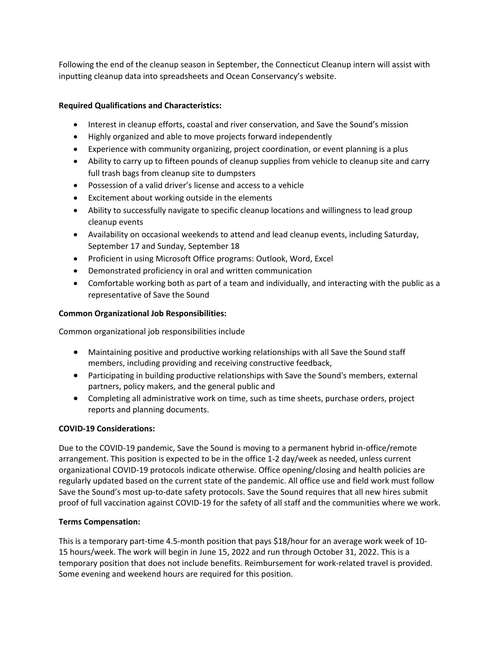Following the end of the cleanup season in September, the Connecticut Cleanup intern will assist with inputting cleanup data into spreadsheets and Ocean Conservancy's website.

## **Required Qualifications and Characteristics:**

- Interest in cleanup efforts, coastal and river conservation, and Save the Sound's mission
- Highly organized and able to move projects forward independently
- Experience with community organizing, project coordination, or event planning is a plus
- Ability to carry up to fifteen pounds of cleanup supplies from vehicle to cleanup site and carry full trash bags from cleanup site to dumpsters
- Possession of a valid driver's license and access to a vehicle
- Excitement about working outside in the elements
- Ability to successfully navigate to specific cleanup locations and willingness to lead group cleanup events
- Availability on occasional weekends to attend and lead cleanup events, including Saturday, September 17 and Sunday, September 18
- Proficient in using Microsoft Office programs: Outlook, Word, Excel
- Demonstrated proficiency in oral and written communication
- Comfortable working both as part of a team and individually, and interacting with the public as a representative of Save the Sound

# **Common Organizational Job Responsibilities:**

Common organizational job responsibilities include

- Maintaining positive and productive working relationships with all Save the Sound staff members, including providing and receiving constructive feedback,
- Participating in building productive relationships with Save the Sound's members, external partners, policy makers, and the general public and
- Completing all administrative work on time, such as time sheets, purchase orders, project reports and planning documents.

# **COVID-19 Considerations:**

Due to the COVID-19 pandemic, Save the Sound is moving to a permanent hybrid in-office/remote arrangement. This position is expected to be in the office 1-2 day/week as needed, unless current organizational COVID-19 protocols indicate otherwise. Office opening/closing and health policies are regularly updated based on the current state of the pandemic. All office use and field work must follow Save the Sound's most up-to-date safety protocols. Save the Sound requires that all new hires submit proof of full vaccination against COVID-19 for the safety of all staff and the communities where we work.

#### **Terms Compensation:**

This is a temporary part-time 4.5-month position that pays \$18/hour for an average work week of 10- 15 hours/week. The work will begin in June 15, 2022 and run through October 31, 2022. This is a temporary position that does not include benefits. Reimbursement for work-related travel is provided. Some evening and weekend hours are required for this position.